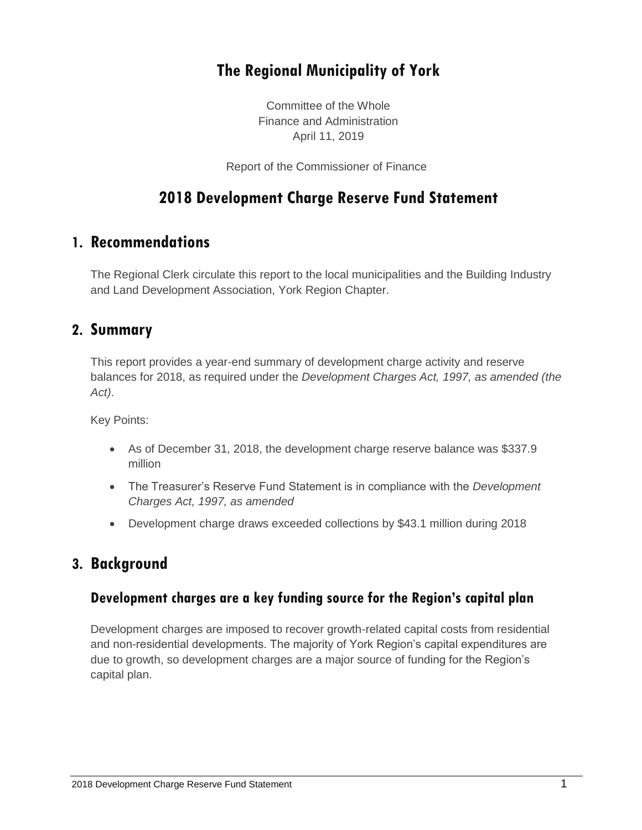# **The Regional Municipality of York**

Committee of the Whole Finance and Administration April 11, 2019

Report of the Commissioner of Finance

# **2018 Development Charge Reserve Fund Statement**

## **1. Recommendations**

The Regional Clerk circulate this report to the local municipalities and the Building Industry and Land Development Association, York Region Chapter.

### **2. Summary**

This report provides a year-end summary of development charge activity and reserve balances for 2018, as required under the *Development Charges Act, 1997, as amended (the Act)*.

Key Points:

- As of December 31, 2018, the development charge reserve balance was \$337.9 million
- The Treasurer's Reserve Fund Statement is in compliance with the *Development Charges Act, 1997, as amended*
- Development charge draws exceeded collections by \$43.1 million during 2018

## **3. Background**

#### **Development charges are a key funding source for the Region's capital plan**

Development charges are imposed to recover growth-related capital costs from residential and non-residential developments. The majority of York Region's capital expenditures are due to growth, so development charges are a major source of funding for the Region's capital plan.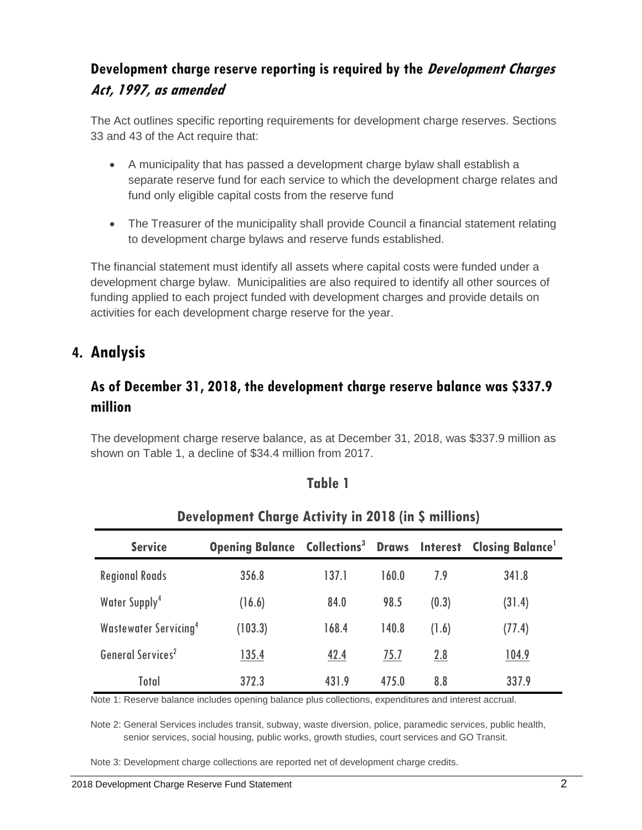# **Development charge reserve reporting is required by the Development Charges Act, 1997, as amended**

The Act outlines specific reporting requirements for development charge reserves. Sections 33 and 43 of the Act require that:

- A municipality that has passed a development charge bylaw shall establish a separate reserve fund for each service to which the development charge relates and fund only eligible capital costs from the reserve fund
- The Treasurer of the municipality shall provide Council a financial statement relating to development charge bylaws and reserve funds established.

The financial statement must identify all assets where capital costs were funded under a development charge bylaw. Municipalities are also required to identify all other sources of funding applied to each project funded with development charges and provide details on activities for each development charge reserve for the year.

# **4. Analysis**

# **As of December 31, 2018, the development charge reserve balance was \$337.9 million**

The development charge reserve balance, as at December 31, 2018, was \$337.9 million as shown on Table 1, a decline of \$34.4 million from 2017.

#### **Table 1**

| <b>Service</b>                          | <b>Opening Balance Collections<sup>3</sup> Draws Interest Closing Balance<sup>1</sup></b> |       |       |       |              |
|-----------------------------------------|-------------------------------------------------------------------------------------------|-------|-------|-------|--------------|
| <b>Regional Roads</b>                   | 356.8                                                                                     | 137.1 | 160.0 | 7.9   | 341.8        |
| Water Supply <sup>4</sup>               | (16.6)                                                                                    | 84.0  | 98.5  | (0.3) | (31.4)       |
| <b>Wastewater Servicing<sup>4</sup></b> | (103.3)                                                                                   | 168.4 | 140.8 | (1.6) | (77.4)       |
| General Services <sup>2</sup>           | 135.4                                                                                     | 42.4  | 75.7  | 2.8   | <u>104.9</u> |
| Total                                   | 372.3                                                                                     | 431.9 | 475.0 | 8.8   | 337.9        |

## **Development Charge Activity in 2018 (in \$ millions)**

Note 1: Reserve balance includes opening balance plus collections, expenditures and interest accrual.

Note 2: General Services includes transit, subway, waste diversion, police, paramedic services, public health, senior services, social housing, public works, growth studies, court services and GO Transit.

Note 3: Development charge collections are reported net of development charge credits.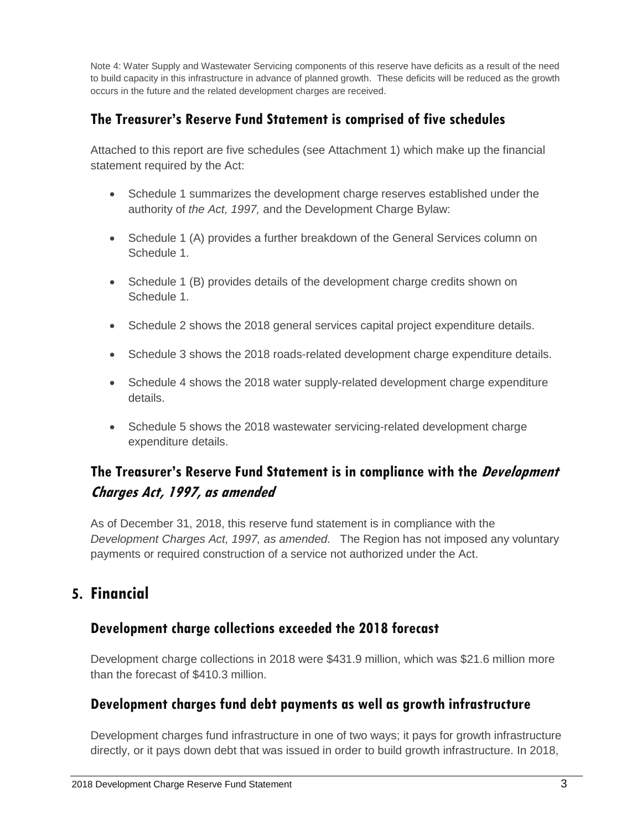Note 4: Water Supply and Wastewater Servicing components of this reserve have deficits as a result of the need to build capacity in this infrastructure in advance of planned growth. These deficits will be reduced as the growth occurs in the future and the related development charges are received.

## **The Treasurer's Reserve Fund Statement is comprised of five schedules**

Attached to this report are five schedules (see Attachment 1) which make up the financial statement required by the Act:

- Schedule 1 summarizes the development charge reserves established under the authority of *the Act, 1997,* and the Development Charge Bylaw:
- Schedule 1 (A) provides a further breakdown of the General Services column on Schedule 1.
- Schedule 1 (B) provides details of the development charge credits shown on Schedule 1.
- Schedule 2 shows the 2018 general services capital project expenditure details.
- Schedule 3 shows the 2018 roads-related development charge expenditure details.
- Schedule 4 shows the 2018 water supply-related development charge expenditure details.
- Schedule 5 shows the 2018 wastewater servicing-related development charge expenditure details.

## **The Treasurer's Reserve Fund Statement is in compliance with the Development Charges Act, 1997, as amended**

As of December 31, 2018, this reserve fund statement is in compliance with the *Development Charges Act, 1997, as amended*. The Region has not imposed any voluntary payments or required construction of a service not authorized under the Act.

# **5. Financial**

#### **Development charge collections exceeded the 2018 forecast**

Development charge collections in 2018 were \$431.9 million, which was \$21.6 million more than the forecast of \$410.3 million.

## **Development charges fund debt payments as well as growth infrastructure**

Development charges fund infrastructure in one of two ways; it pays for growth infrastructure directly, or it pays down debt that was issued in order to build growth infrastructure. In 2018,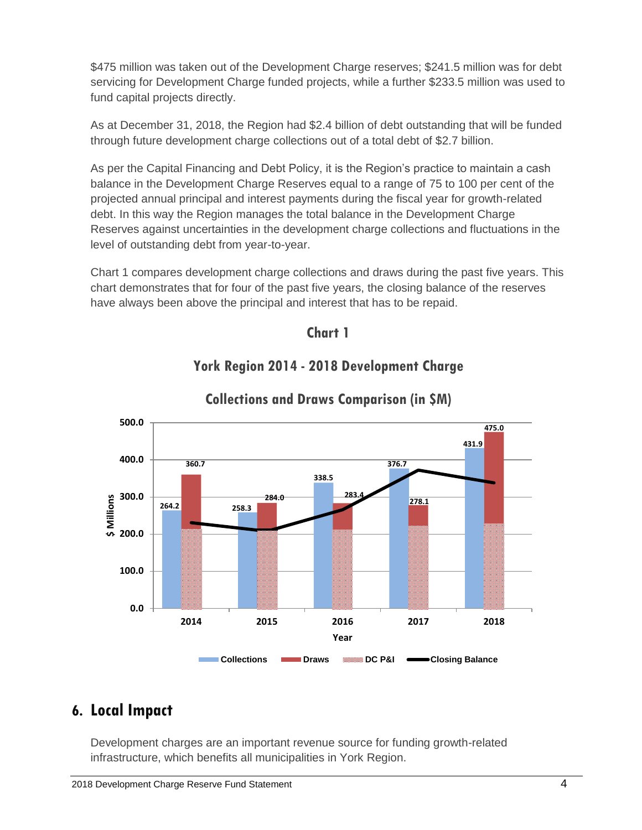\$475 million was taken out of the Development Charge reserves; \$241.5 million was for debt servicing for Development Charge funded projects, while a further \$233.5 million was used to fund capital projects directly.

As at December 31, 2018, the Region had \$2.4 billion of debt outstanding that will be funded through future development charge collections out of a total debt of \$2.7 billion.

As per the Capital Financing and Debt Policy, it is the Region's practice to maintain a cash balance in the Development Charge Reserves equal to a range of 75 to 100 per cent of the projected annual principal and interest payments during the fiscal year for growth-related debt. In this way the Region manages the total balance in the Development Charge Reserves against uncertainties in the development charge collections and fluctuations in the level of outstanding debt from year-to-year.

Chart 1 compares development charge collections and draws during the past five years. This chart demonstrates that for four of the past five years, the closing balance of the reserves have always been above the principal and interest that has to be repaid.





## **York Region 2014 - 2018 Development Charge**

# **6. Local Impact**

Development charges are an important revenue source for funding growth-related infrastructure, which benefits all municipalities in York Region.